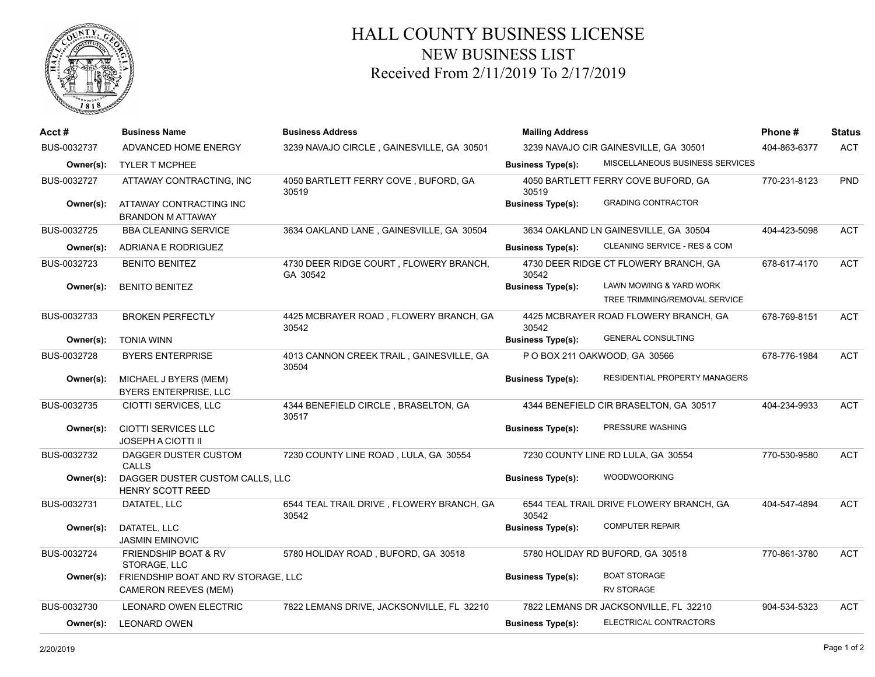

## HALL COUNTY BUSINESS LICENSE NEW BUSINESS LIST Received From 2/11/2019 To 2/17/2019

| Acct #      | <b>Business Name</b>                                               | <b>Business Address</b>                            | <b>Mailing Address</b>                | Phone#                                                   | <b>Status</b> |            |
|-------------|--------------------------------------------------------------------|----------------------------------------------------|---------------------------------------|----------------------------------------------------------|---------------|------------|
| BUS-0032737 | ADVANCED HOME ENERGY                                               | 3239 NAVAJO CIRCLE, GAINESVILLE, GA 30501          | 3239 NAVAJO CIR GAINESVILLE, GA 30501 |                                                          | 404-863-6377  | <b>ACT</b> |
| Owner(s):   | <b>TYLER T MCPHEE</b>                                              |                                                    | <b>Business Type(s):</b>              | MISCELLANEOUS BUSINESS SERVICES                          |               |            |
| BUS-0032727 | ATTAWAY CONTRACTING, INC                                           | 4050 BARTLETT FERRY COVE, BUFORD, GA<br>30519      | 30519                                 | 4050 BARTLETT FERRY COVE BUFORD, GA                      | 770-231-8123  | PND        |
| Owner(s):   | ATTAWAY CONTRACTING INC<br><b>BRANDON M ATTAWAY</b>                |                                                    | <b>Business Type(s):</b>              | <b>GRADING CONTRACTOR</b>                                |               |            |
| BUS-0032725 | <b>BBA CLEANING SERVICE</b>                                        | 3634 OAKLAND LANE, GAINESVILLE, GA 30504           |                                       | 3634 OAKLAND LN GAINESVILLE, GA 30504                    | 404-423-5098  | <b>ACT</b> |
| Owner(s):   | ADRIANA E RODRIGUEZ                                                |                                                    | <b>Business Type(s):</b>              | CLEANING SERVICE - RES & COM                             |               |            |
| BUS-0032723 | <b>BENITO BENITEZ</b>                                              | 4730 DEER RIDGE COURT, FLOWERY BRANCH,<br>GA 30542 | 30542                                 | 4730 DEER RIDGE CT FLOWERY BRANCH, GA                    | 678-617-4170  | <b>ACT</b> |
| Owner(s):   | <b>BENITO BENITEZ</b>                                              |                                                    | <b>Business Type(s):</b>              | LAWN MOWING & YARD WORK<br>TREE TRIMMING/REMOVAL SERVICE |               |            |
| BUS-0032733 | <b>BROKEN PERFECTLY</b>                                            | 4425 MCBRAYER ROAD, FLOWERY BRANCH, GA<br>30542    | 30542                                 | 4425 MCBRAYER ROAD FLOWERY BRANCH, GA                    | 678-769-8151  | <b>ACT</b> |
| Owner(s):   | <b>TONIA WINN</b>                                                  |                                                    | <b>Business Type(s):</b>              | <b>GENERAL CONSULTING</b>                                |               |            |
| BUS-0032728 | <b>BYERS ENTERPRISE</b>                                            | 4013 CANNON CREEK TRAIL, GAINESVILLE, GA<br>30504  |                                       | P O BOX 211 OAKWOOD, GA 30566                            | 678-776-1984  | <b>ACT</b> |
| Owner(s):   | MICHAEL J BYERS (MEM)<br><b>BYERS ENTERPRISE, LLC</b>              |                                                    | <b>Business Type(s):</b>              | RESIDENTIAL PROPERTY MANAGERS                            |               |            |
| BUS-0032735 | CIOTTI SERVICES, LLC                                               | 4344 BENEFIELD CIRCLE, BRASELTON, GA<br>30517      |                                       | 4344 BENEFIELD CIR BRASELTON, GA 30517                   | 404-234-9933  | <b>ACT</b> |
| Owner(s):   | CIOTTI SERVICES LLC<br><b>JOSEPH A CIOTTI II</b>                   |                                                    | <b>Business Type(s):</b>              | PRESSURE WASHING                                         |               |            |
| BUS-0032732 | DAGGER DUSTER CUSTOM<br><b>CALLS</b>                               | 7230 COUNTY LINE ROAD, LULA, GA 30554              |                                       | 7230 COUNTY LINE RD LULA, GA 30554                       | 770-530-9580  | <b>ACT</b> |
| Owner(s):   | DAGGER DUSTER CUSTOM CALLS, LLC<br><b>HENRY SCOTT REED</b>         |                                                    | <b>Business Type(s):</b>              | <b>WOODWOORKING</b>                                      |               |            |
| BUS-0032731 | DATATEL, LLC                                                       | 6544 TEAL TRAIL DRIVE, FLOWERY BRANCH, GA<br>30542 | 30542                                 | 6544 TEAL TRAIL DRIVE FLOWERY BRANCH, GA                 | 404-547-4894  | <b>ACT</b> |
| Owner(s):   | DATATEL, LLC<br><b>JASMIN EMINOVIC</b>                             |                                                    | <b>Business Type(s):</b>              | <b>COMPUTER REPAIR</b>                                   |               |            |
| BUS-0032724 | FRIENDSHIP BOAT & RV<br>STORAGE, LLC                               | 5780 HOLIDAY ROAD, BUFORD, GA 30518                |                                       | 5780 HOLIDAY RD BUFORD, GA 30518                         | 770-861-3780  | <b>ACT</b> |
| Owner(s):   | FRIENDSHIP BOAT AND RV STORAGE, LLC<br><b>CAMERON REEVES (MEM)</b> |                                                    | <b>Business Type(s):</b>              | <b>BOAT STORAGE</b><br><b>RV STORAGE</b>                 |               |            |
| BUS-0032730 | LEONARD OWEN ELECTRIC                                              | 7822 LEMANS DRIVE, JACKSONVILLE, FL 32210          |                                       | 7822 LEMANS DR JACKSONVILLE, FL 32210                    | 904-534-5323  | <b>ACT</b> |
| Owner(s):   | <b>LEONARD OWEN</b>                                                |                                                    | <b>Business Type(s):</b>              | ELECTRICAL CONTRACTORS                                   |               |            |
|             |                                                                    |                                                    |                                       |                                                          |               |            |